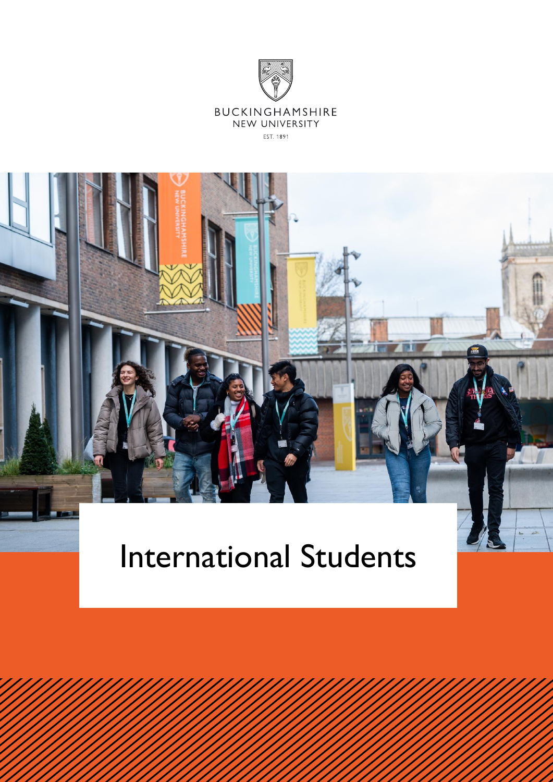



# International Students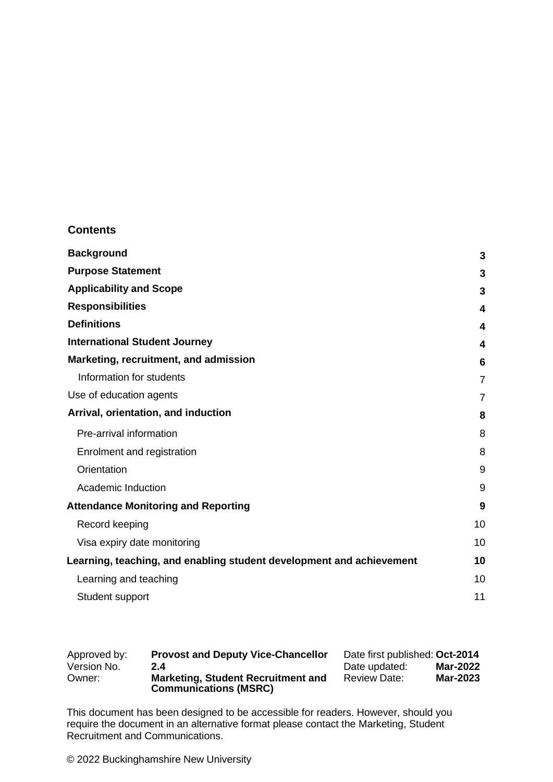#### **Contents**

| <b>Background</b>                                                    | 3              |
|----------------------------------------------------------------------|----------------|
| <b>Purpose Statement</b>                                             | 3              |
| <b>Applicability and Scope</b>                                       | 3              |
| <b>Responsibilities</b>                                              | 4              |
| <b>Definitions</b>                                                   | 4              |
| <b>International Student Journey</b>                                 | 4              |
| Marketing, recruitment, and admission                                | 6              |
| Information for students                                             | $\overline{7}$ |
| Use of education agents                                              | 7              |
| Arrival, orientation, and induction                                  | 8              |
| Pre-arrival information                                              | 8              |
| Enrolment and registration                                           | 8              |
| Orientation                                                          | 9              |
| Academic Induction                                                   | 9              |
| <b>Attendance Monitoring and Reporting</b>                           | 9              |
| Record keeping                                                       | 10             |
| Visa expiry date monitoring                                          | 10             |
| Learning, teaching, and enabling student development and achievement | 10             |
| Learning and teaching                                                | 10             |
| Student support                                                      | 11             |

| Approved by: | <b>Provost and Deputy Vice-Chancellor</b>                                 | Date first published: Oct-2014         |
|--------------|---------------------------------------------------------------------------|----------------------------------------|
| Version No.  | 2.4                                                                       | <b>Mar-2022</b><br>Date updated:       |
| Owner:       | <b>Marketing, Student Recruitment and</b><br><b>Communications (MSRC)</b> | <b>Mar-2023</b><br><b>Review Date:</b> |

This document has been designed to be accessible for readers. However, should you require the document in an alternative format please contact the Marketing, Student Recruitment and Communications.

© 2022 Buckinghamshire New University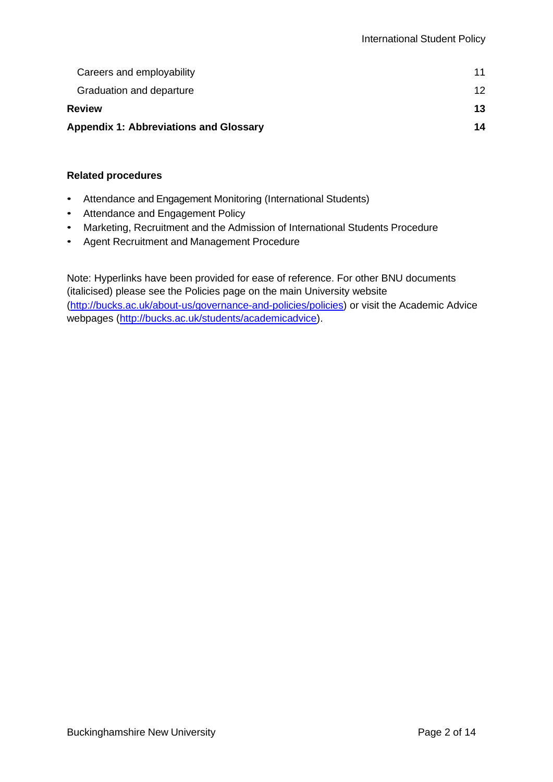| <b>Appendix 1: Abbreviations and Glossary</b> |    |
|-----------------------------------------------|----|
| <b>Review</b>                                 | 13 |
| Graduation and departure                      | 12 |
| Careers and employability                     | 11 |

#### **Related procedures**

- Attendance and Engagement Monitoring (International Students)
- Attendance and Engagement Policy
- Marketing, Recruitment and the Admission of International Students Procedure
- Agent Recruitment and Management Procedure

Note: Hyperlinks have been provided for ease of reference. For other BNU documents (italicised) please see the Policies page on the main University website [\(http://bucks.ac.uk/about-us/governance-and-policies/policies\)](http://bucks.ac.uk/about-us/governance-and-policies/policies) or visit the Academic Advice webpages [\(http://bucks.ac.uk/students/academicadvice\)](http://bucks.ac.uk/students/academicadvice).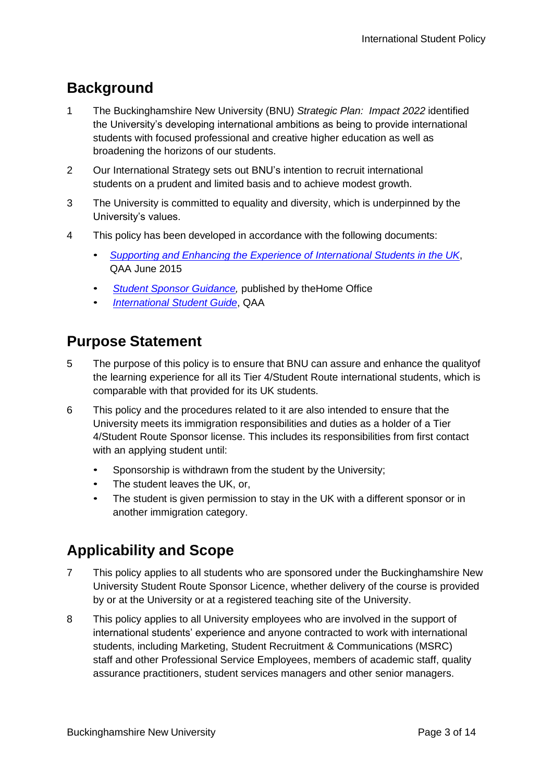# <span id="page-3-0"></span>**Background**

- 1 The Buckinghamshire New University (BNU) *Strategic Plan: Impact 2022* identified the University's developing international ambitions as being to provide international students with focused professional and creative higher education as well as broadening the horizons of our students.
- 2 Our International Strategy sets out BNU's intention to recruit international students on a prudent and limited basis and to achieve modest growth.
- 3 The University is committed to equality and diversity, which is underpinned by the University's values.
- 4 This policy has been developed in accordance with the following documents:
	- *Supporting and Enhancing the Experience of International Students in the UK*, QAA June 2015
	- **Student Sponsor Guidance**, published by the Home Office
	- *[International Student Guide](https://www.qaa.ac.uk/docs/qaa/international/international-students-guide-15.pdf?sfvrsn=7375f781_4)*, QAA

## <span id="page-3-1"></span>**Purpose Statement**

- 5 The purpose of this policy is to ensure that BNU can assure and enhance the qualityof the learning experience for all its Tier 4/Student Route international students, which is comparable with that provided for its UK students.
- <span id="page-3-3"></span>6 This policy and the procedures related to it are also intended to ensure that the University meets its immigration responsibilities and duties as a holder of a Tier 4/Student Route Sponsor license. This includes its responsibilities from first contact with an applying student until:
	- Sponsorship is withdrawn from the student by the University;
	- The student leaves the UK, or,
	- The student is given permission to stay in the UK with a different sponsor or in another immigration category.

# <span id="page-3-2"></span>**Applicability and Scope**

- 7 This policy applies to all students who are sponsored under the Buckinghamshire New University Student Route Sponsor Licence, whether delivery of the course is provided by or at the University or at a registered teaching site of the University.
- 8 This policy applies to all University employees who are involved in the support of international students' experience and anyone contracted to work with international students, including Marketing, Student Recruitment & Communications (MSRC) staff and other Professional Service Employees, members of academic staff, quality assurance practitioners, student services managers and other senior managers.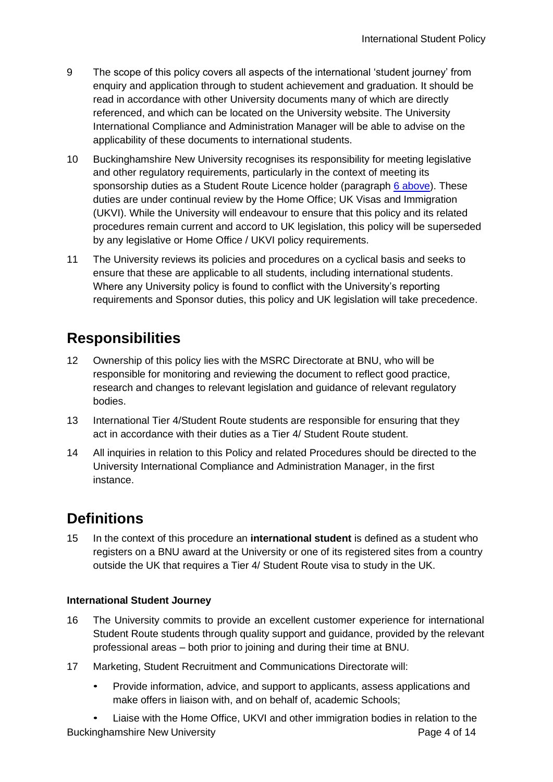- 9 The scope of this policy covers all aspects of the international 'student journey' from enquiry and application through to student achievement and graduation. It should be read in accordance with other University documents many of which are directly referenced, and which can be located on the University website. The University International Compliance and Administration Manager will be able to advise on the applicability of these documents to international students.
- 10 Buckinghamshire New University recognises its responsibility for meeting legislative and other regulatory requirements, particularly in the context of meeting its sponsorship duties as a Student Route Licence holder (paragraph [6 above\)](#page-3-3). These duties are under continual review by the Home Office; UK Visas and Immigration (UKVI). While the University will endeavour to ensure that this policy and its related procedures remain current and accord to UK legislation, this policy will be superseded by any legislative or Home Office / UKVI policy requirements.
- 11 The University reviews its policies and procedures on a cyclical basis and seeks to ensure that these are applicable to all students, including international students. Where any University policy is found to conflict with the University's reporting requirements and Sponsor duties, this policy and UK legislation will take precedence.

# <span id="page-4-0"></span>**Responsibilities**

- 12 Ownership of this policy lies with the MSRC Directorate at BNU, who will be responsible for monitoring and reviewing the document to reflect good practice, research and changes to relevant legislation and guidance of relevant regulatory bodies.
- 13 International Tier 4/Student Route students are responsible for ensuring that they act in accordance with their duties as a Tier 4/ Student Route student.
- 14 All inquiries in relation to this Policy and related Procedures should be directed to the University International Compliance and Administration Manager, in the first instance.

## <span id="page-4-1"></span>**Definitions**

15 In the context of this procedure an **international student** is defined as a student who registers on a BNU award at the University or one of its registered sites from a country outside the UK that requires a Tier 4/ Student Route visa to study in the UK.

#### <span id="page-4-2"></span>**International Student Journey**

- 16 The University commits to provide an excellent customer experience for international Student Route students through quality support and guidance, provided by the relevant professional areas – both prior to joining and during their time at BNU.
- 17 Marketing, Student Recruitment and Communications Directorate will:
	- Provide information, advice, and support to applicants, assess applications and make offers in liaison with, and on behalf of, academic Schools;
- Buckinghamshire New University **Page 4 of 14** Buckinghamshire New University • Liaise with the Home Office, UKVI and other immigration bodies in relation to the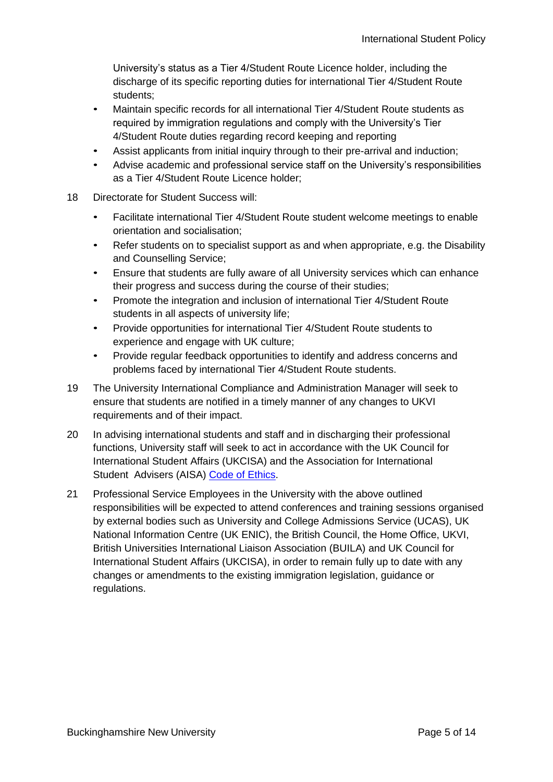University's status as a Tier 4/Student Route Licence holder, including the discharge of its specific reporting duties for international Tier 4/Student Route students;

- Maintain specific records for all international Tier 4/Student Route students as required by immigration regulations and comply with the University's Tier 4/Student Route duties regarding record keeping and reporting
- Assist applicants from initial inquiry through to their pre-arrival and induction;
- Advise academic and professional service staff on the University's responsibilities as a Tier 4/Student Route Licence holder;
- 18 Directorate for Student Success will:
	- Facilitate international Tier 4/Student Route student welcome meetings to enable orientation and socialisation;
	- Refer students on to specialist support as and when appropriate, e.g. the Disability and Counselling Service;
	- Ensure that students are fully aware of all University services which can enhance their progress and success during the course of their studies;
	- Promote the integration and inclusion of international Tier 4/Student Route students in all aspects of university life;
	- Provide opportunities for international Tier 4/Student Route students to experience and engage with UK culture;
	- Provide regular feedback opportunities to identify and address concerns and problems faced by international Tier 4/Student Route students.
- 19 The University International Compliance and Administration Manager will seek to ensure that students are notified in a timely manner of any changes to UKVI requirements and of their impact.
- 20 In advising international students and staff and in discharging their professional functions, University staff will seek to act in accordance with the UK Council for International Student Affairs (UKCISA) and the Association for International Student Advisers (AISA) [Code of Ethics.](http://www.ukcisa.org.uk/code-of-ethics)
- 21 Professional Service Employees in the University with the above outlined responsibilities will be expected to attend conferences and training sessions organised by external bodies such as University and College Admissions Service (UCAS), UK National Information Centre (UK ENIC), the British Council, the Home Office, UKVI, British Universities International Liaison Association (BUILA) and UK Council for International Student Affairs (UKCISA), in order to remain fully up to date with any changes or amendments to the existing immigration legislation, guidance or regulations.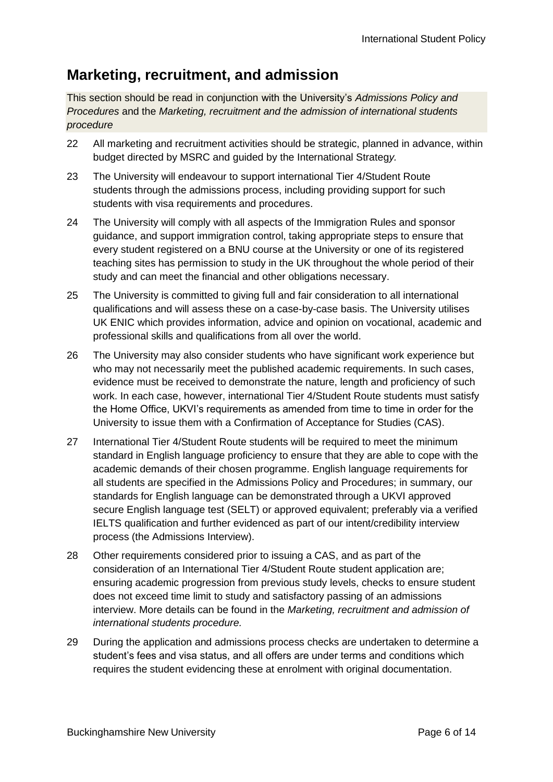## <span id="page-6-0"></span>**Marketing, recruitment, and admission**

This section should be read in conjunction with the University's *Admissions Policy and Procedures* and the *Marketing, recruitment and the admission of international students procedure*

- 22 All marketing and recruitment activities should be strategic, planned in advance, within budget directed by MSRC and guided by the International Strateg*y.*
- 23 The University will endeavour to support international Tier 4/Student Route students through the admissions process, including providing support for such students with visa requirements and procedures.
- 24 The University will comply with all aspects of the Immigration Rules and sponsor guidance, and support immigration control, taking appropriate steps to ensure that every student registered on a BNU course at the University or one of its registered teaching sites has permission to study in the UK throughout the whole period of their study and can meet the financial and other obligations necessary.
- 25 The University is committed to giving full and fair consideration to all international qualifications and will assess these on a case-by-case basis. The University utilises UK ENIC which provides information, advice and opinion on vocational, academic and professional skills and qualifications from all over the world.
- 26 The University may also consider students who have significant work experience but who may not necessarily meet the published academic requirements. In such cases, evidence must be received to demonstrate the nature, length and proficiency of such work. In each case, however, international Tier 4/Student Route students must satisfy the Home Office, UKVI's requirements as amended from time to time in order for the University to issue them with a Confirmation of Acceptance for Studies (CAS).
- 27 International Tier 4/Student Route students will be required to meet the minimum standard in English language proficiency to ensure that they are able to cope with the academic demands of their chosen programme. English language requirements for all students are specified in the Admissions Policy and Procedures; in summary, our standards for English language can be demonstrated through a UKVI approved secure English language test (SELT) or approved equivalent; preferably via a verified IELTS qualification and further evidenced as part of our intent/credibility interview process (the Admissions Interview).
- 28 Other requirements considered prior to issuing a CAS, and as part of the consideration of an International Tier 4/Student Route student application are; ensuring academic progression from previous study levels, checks to ensure student does not exceed time limit to study and satisfactory passing of an admissions interview. More details can be found in the *Marketing, recruitment and admission of international students procedure.*
- 29 During the application and admissions process checks are undertaken to determine a student's fees and visa status, and all offers are under terms and conditions which requires the student evidencing these at enrolment with original documentation.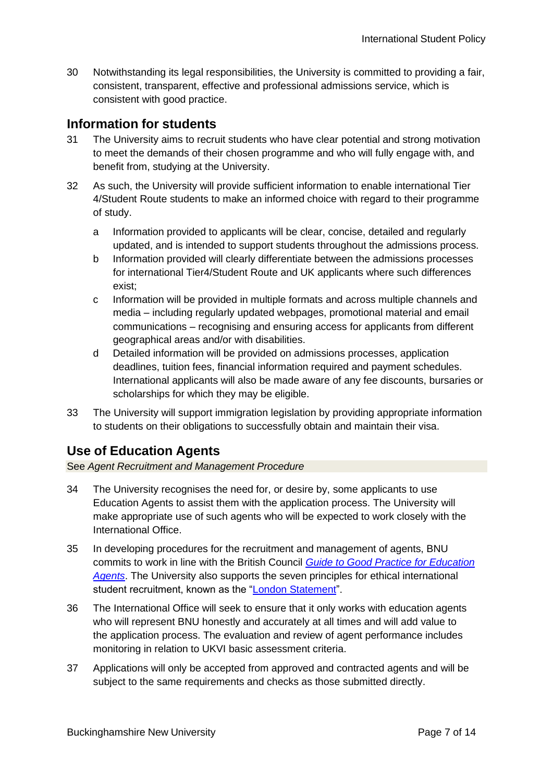30 Notwithstanding its legal responsibilities, the University is committed to providing a fair, consistent, transparent, effective and professional admissions service, which is consistent with good practice.

## <span id="page-7-0"></span>**Information for students**

- 31 The University aims to recruit students who have clear potential and strong motivation to meet the demands of their chosen programme and who will fully engage with, and benefit from, studying at the University.
- 32 As such, the University will provide sufficient information to enable international Tier 4/Student Route students to make an informed choice with regard to their programme of study.
	- a Information provided to applicants will be clear, concise, detailed and regularly updated, and is intended to support students throughout the admissions process.
	- b Information provided will clearly differentiate between the admissions processes for international Tier4/Student Route and UK applicants where such differences exist;
	- c Information will be provided in multiple formats and across multiple channels and media – including regularly updated webpages, promotional material and email communications – recognising and ensuring access for applicants from different geographical areas and/or with disabilities.
	- d Detailed information will be provided on admissions processes, application deadlines, tuition fees, financial information required and payment schedules. International applicants will also be made aware of any fee discounts, bursaries or scholarships for which they may be eligible.
- 33 The University will support immigration legislation by providing appropriate information to students on their obligations to successfully obtain and maintain their visa.

## <span id="page-7-1"></span>**Use of Education Agents**

See *Agent Recruitment and Management Procedure*

- 34 The University recognises the need for, or desire by, some applicants to use Education Agents to assist them with the application process. The University will make appropriate use of such agents who will be expected to work closely with the International Office.
- 35 In developing procedures for the recruitment and management of agents, BNU commits to work in line with the British Council *[Guide to Good Practice for Education](http://www.britishcouncil.org/education/education-agents) [Agents](http://www.britishcouncil.org/education/education-agents)*. The University also supports the seven principles for ethical international student recruitment, known as the ["London Statement"](http://www.britishcouncil.org/organisation/press/landmark-international-code-ethics).
- 36 The International Office will seek to ensure that it only works with education agents who will represent BNU honestly and accurately at all times and will add value to the application process. The evaluation and review of agent performance includes monitoring in relation to UKVI basic assessment criteria.
- 37 Applications will only be accepted from approved and contracted agents and will be subject to the same requirements and checks as those submitted directly.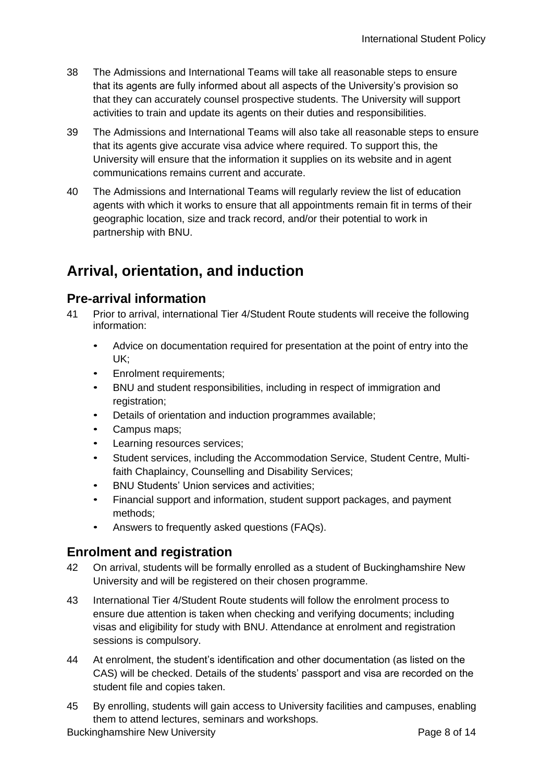- 38 The Admissions and International Teams will take all reasonable steps to ensure that its agents are fully informed about all aspects of the University's provision so that they can accurately counsel prospective students. The University will support activities to train and update its agents on their duties and responsibilities.
- 39 The Admissions and International Teams will also take all reasonable steps to ensure that its agents give accurate visa advice where required. To support this, the University will ensure that the information it supplies on its website and in agent communications remains current and accurate.
- 40 The Admissions and International Teams will regularly review the list of education agents with which it works to ensure that all appointments remain fit in terms of their geographic location, size and track record, and/or their potential to work in partnership with BNU.

# <span id="page-8-0"></span>**Arrival, orientation, and induction**

#### <span id="page-8-1"></span>**Pre-arrival information**

- 41 Prior to arrival, international Tier 4/Student Route students will receive the following information:
	- Advice on documentation required for presentation at the point of entry into the UK;
	- Enrolment requirements;
	- BNU and student responsibilities, including in respect of immigration and registration;
	- Details of orientation and induction programmes available;
	- Campus maps;
	- Learning resources services;
	- Student services, including the Accommodation Service, Student Centre, Multifaith Chaplaincy, Counselling and Disability Services;
	- BNU Students' Union services and activities;
	- Financial support and information, student support packages, and payment methods;
	- Answers to frequently asked questions (FAQs).

#### <span id="page-8-2"></span>**Enrolment and registration**

- 42 On arrival, students will be formally enrolled as a student of Buckinghamshire New University and will be registered on their chosen programme.
- 43 International Tier 4/Student Route students will follow the enrolment process to ensure due attention is taken when checking and verifying documents; including visas and eligibility for study with BNU. Attendance at enrolment and registration sessions is compulsory.
- 44 At enrolment, the student's identification and other documentation (as listed on the CAS) will be checked. Details of the students' passport and visa are recorded on the student file and copies taken.
- 45 By enrolling, students will gain access to University facilities and campuses, enabling them to attend lectures, seminars and workshops.

Buckinghamshire New University **Page 8 of 14** Page 8 of 14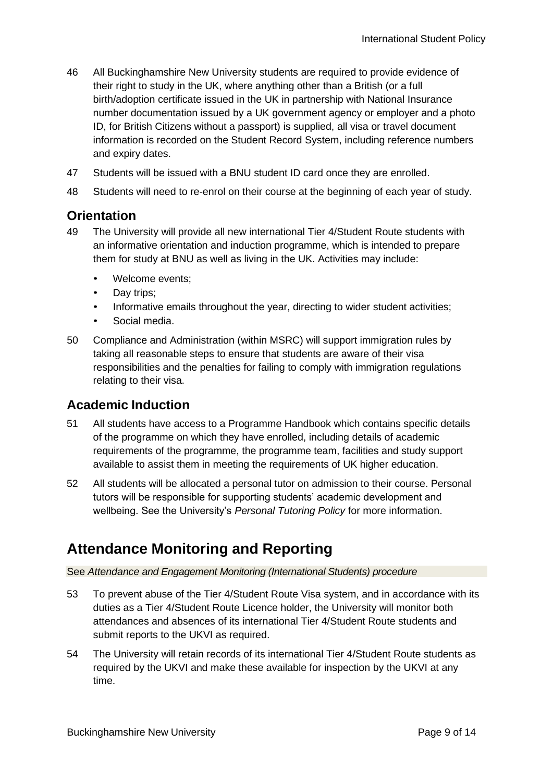- 46 All Buckinghamshire New University students are required to provide evidence of their right to study in the UK, where anything other than a British (or a full birth/adoption certificate issued in the UK in partnership with National Insurance number documentation issued by a UK government agency or employer and a photo ID, for British Citizens without a passport) is supplied, all visa or travel document information is recorded on the Student Record System, including reference numbers and expiry dates.
- 47 Students will be issued with a BNU student ID card once they are enrolled.
- 48 Students will need to re-enrol on their course at the beginning of each year of study.

#### <span id="page-9-0"></span>**Orientation**

- 49 The University will provide all new international Tier 4/Student Route students with an informative orientation and induction programme, which is intended to prepare them for study at BNU as well as living in the UK. Activities may include:
	- Welcome events;
	- Day trips;
	- Informative emails throughout the year, directing to wider student activities;
	- Social media.
- 50 Compliance and Administration (within MSRC) will support immigration rules by taking all reasonable steps to ensure that students are aware of their visa responsibilities and the penalties for failing to comply with immigration regulations relating to their visa.

#### <span id="page-9-1"></span>**Academic Induction**

- 51 All students have access to a Programme Handbook which contains specific details of the programme on which they have enrolled, including details of academic requirements of the programme, the programme team, facilities and study support available to assist them in meeting the requirements of UK higher education.
- 52 All students will be allocated a personal tutor on admission to their course. Personal tutors will be responsible for supporting students' academic development and wellbeing. See the University's *Personal Tutoring Policy* for more information.

## <span id="page-9-2"></span>**Attendance Monitoring and Reporting**

See *Attendance and Engagement Monitoring (International Students) procedure*

- 53 To prevent abuse of the Tier 4/Student Route Visa system, and in accordance with its duties as a Tier 4/Student Route Licence holder, the University will monitor both attendances and absences of its international Tier 4/Student Route students and submit reports to the UKVI as required.
- 54 The University will retain records of its international Tier 4/Student Route students as required by the UKVI and make these available for inspection by the UKVI at any time.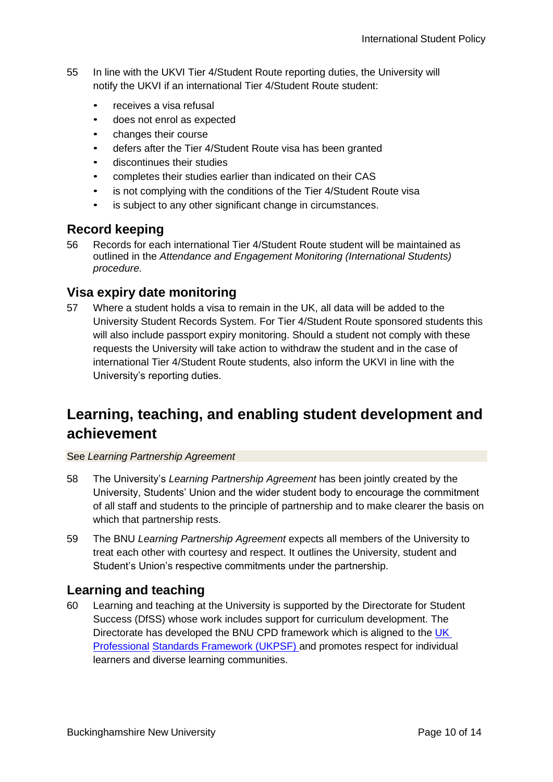- 55 In line with the UKVI Tier 4/Student Route reporting duties, the University will notify the UKVI if an international Tier 4/Student Route student:
	- receives a visa refusal
	- does not enrol as expected
	- changes their course
	- defers after the Tier 4/Student Route visa has been granted
	- discontinues their studies
	- completes their studies earlier than indicated on their CAS
	- is not complying with the conditions of the Tier 4/Student Route visa
	- is subject to any other significant change in circumstances.

#### <span id="page-10-0"></span>**Record keeping**

56 Records for each international Tier 4/Student Route student will be maintained as outlined in the *Attendance and Engagement Monitoring (International Students) procedure*.

#### <span id="page-10-1"></span>**Visa expiry date monitoring**

57 Where a student holds a visa to remain in the UK, all data will be added to the University Student Records System. For Tier 4/Student Route sponsored students this will also include passport expiry monitoring. Should a student not comply with these requests the University will take action to withdraw the student and in the case of international Tier 4/Student Route students, also inform the UKVI in line with the University's reporting duties.

## <span id="page-10-2"></span>**Learning, teaching, and enabling student development and achievement**

#### See *Learning Partnership Agreement*

- 58 The University's *Learning Partnership Agreement* has been jointly created by the University, Students' Union and the wider student body to encourage the commitment of all staff and students to the principle of partnership and to make clearer the basis on which that partnership rests.
- 59 The BNU *Learning Partnership Agreement* expects all members of the University to treat each other with courtesy and respect. It outlines the University, student and Student's Union's respective commitments under the partnership.

#### <span id="page-10-3"></span>**Learning and teaching**

60 Learning and teaching at the University is supported by the Directorate for Student Success (DfSS) whose work includes support for curriculum development. The Directorate has developed the BNU CPD framework which is aligned to the [UK](https://www.heacademy.ac.uk/sites/default/files/downloads/UKPSF_2011_English.pdf)  [Professional](https://www.heacademy.ac.uk/sites/default/files/downloads/UKPSF_2011_English.pdf) [Standards Framework \(UKPSF\) a](https://www.heacademy.ac.uk/sites/default/files/downloads/UKPSF_2011_English.pdf)nd promotes respect for individual learners and diverse learning communities.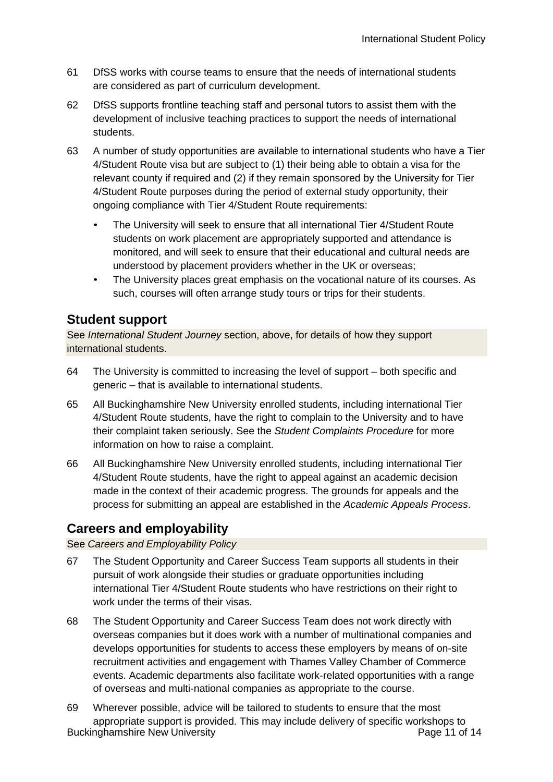- 61 DfSS works with course teams to ensure that the needs of international students are considered as part of curriculum development.
- 62 DfSS supports frontline teaching staff and personal tutors to assist them with the development of inclusive teaching practices to support the needs of international students.
- 63 A number of study opportunities are available to international students who have a Tier 4/Student Route visa but are subject to (1) their being able to obtain a visa for the relevant county if required and (2) if they remain sponsored by the University for Tier 4/Student Route purposes during the period of external study opportunity, their ongoing compliance with Tier 4/Student Route requirements:
	- The University will seek to ensure that all international Tier 4/Student Route students on work placement are appropriately supported and attendance is monitored, and will seek to ensure that their educational and cultural needs are understood by placement providers whether in the UK or overseas;
	- The University places great emphasis on the vocational nature of its courses. As such, courses will often arrange study tours or trips for their students.

## <span id="page-11-0"></span>**Student support**

See *International Student Journey* section, above, for details of how they support international students.

- 64 The University is committed to increasing the level of support both specific and generic – that is available to international students.
- 65 All Buckinghamshire New University enrolled students, including international Tier 4/Student Route students, have the right to complain to the University and to have their complaint taken seriously. See the *Student Complaints Procedure* for more information on how to raise a complaint.
- 66 All Buckinghamshire New University enrolled students, including international Tier 4/Student Route students, have the right to appeal against an academic decision made in the context of their academic progress. The grounds for appeals and the process for submitting an appeal are established in the *Academic Appeals Process*.

## <span id="page-11-1"></span>**Careers and employability**

See *Careers and Employability Policy*

- 67 The Student Opportunity and Career Success Team supports all students in their pursuit of work alongside their studies or graduate opportunities including international Tier 4/Student Route students who have restrictions on their right to work under the terms of their visas.
- 68 The Student Opportunity and Career Success Team does not work directly with overseas companies but it does work with a number of multinational companies and develops opportunities for students to access these employers by means of on-site recruitment activities and engagement with Thames Valley Chamber of Commerce events. Academic departments also facilitate work-related opportunities with a range of overseas and multi-national companies as appropriate to the course.
- Buckinghamshire New University **Page 11 of 14** Page 11 of 14 69 Wherever possible, advice will be tailored to students to ensure that the most appropriate support is provided. This may include delivery of specific workshops to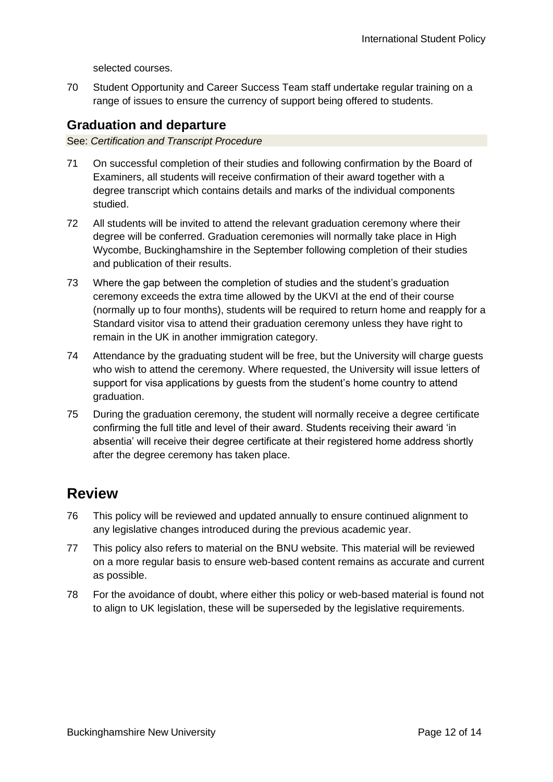selected courses.

70 Student Opportunity and Career Success Team staff undertake regular training on a range of issues to ensure the currency of support being offered to students.

## <span id="page-12-0"></span>**Graduation and departure**

See: *Certification and Transcript Procedure*

- 71 On successful completion of their studies and following confirmation by the Board of Examiners, all students will receive confirmation of their award together with a degree transcript which contains details and marks of the individual components studied.
- 72 All students will be invited to attend the relevant graduation ceremony where their degree will be conferred. Graduation ceremonies will normally take place in High Wycombe, Buckinghamshire in the September following completion of their studies and publication of their results.
- 73 Where the gap between the completion of studies and the student's graduation ceremony exceeds the extra time allowed by the UKVI at the end of their course (normally up to four months), students will be required to return home and reapply for a Standard visitor visa to attend their graduation ceremony unless they have right to remain in the UK in another immigration category.
- 74 Attendance by the graduating student will be free, but the University will charge guests who wish to attend the ceremony. Where requested, the University will issue letters of support for visa applications by guests from the student's home country to attend graduation.
- 75 During the graduation ceremony, the student will normally receive a degree certificate confirming the full title and level of their award. Students receiving their award 'in absentia' will receive their degree certificate at their registered home address shortly after the degree ceremony has taken place.

## <span id="page-12-1"></span>**Review**

- 76 This policy will be reviewed and updated annually to ensure continued alignment to any legislative changes introduced during the previous academic year.
- 77 This policy also refers to material on the BNU website. This material will be reviewed on a more regular basis to ensure web-based content remains as accurate and current as possible.
- 78 For the avoidance of doubt, where either this policy or web-based material is found not to align to UK legislation, these will be superseded by the legislative requirements.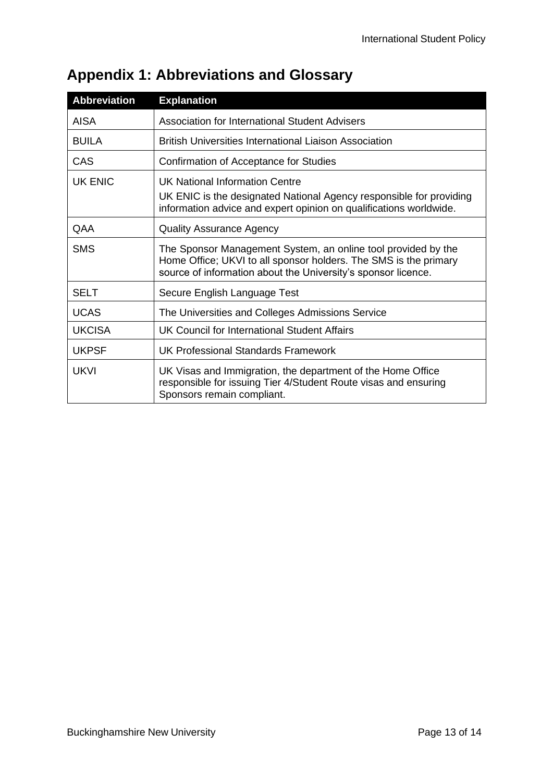| <b>Abbreviation</b> | <b>Explanation</b>                                                                                                                                                                                 |
|---------------------|----------------------------------------------------------------------------------------------------------------------------------------------------------------------------------------------------|
| <b>AISA</b>         | <b>Association for International Student Advisers</b>                                                                                                                                              |
| <b>BUILA</b>        | <b>British Universities International Liaison Association</b>                                                                                                                                      |
| CAS                 | Confirmation of Acceptance for Studies                                                                                                                                                             |
| <b>UK ENIC</b>      | <b>UK National Information Centre</b><br>UK ENIC is the designated National Agency responsible for providing<br>information advice and expert opinion on qualifications worldwide.                 |
| QAA                 | <b>Quality Assurance Agency</b>                                                                                                                                                                    |
| <b>SMS</b>          | The Sponsor Management System, an online tool provided by the<br>Home Office; UKVI to all sponsor holders. The SMS is the primary<br>source of information about the University's sponsor licence. |
| <b>SELT</b>         | Secure English Language Test                                                                                                                                                                       |
| <b>UCAS</b>         | The Universities and Colleges Admissions Service                                                                                                                                                   |
| <b>UKCISA</b>       | UK Council for International Student Affairs                                                                                                                                                       |
| <b>UKPSF</b>        | <b>UK Professional Standards Framework</b>                                                                                                                                                         |
| <b>UKVI</b>         | UK Visas and Immigration, the department of the Home Office<br>responsible for issuing Tier 4/Student Route visas and ensuring<br>Sponsors remain compliant.                                       |

# <span id="page-13-0"></span>**Appendix 1: Abbreviations and Glossary**